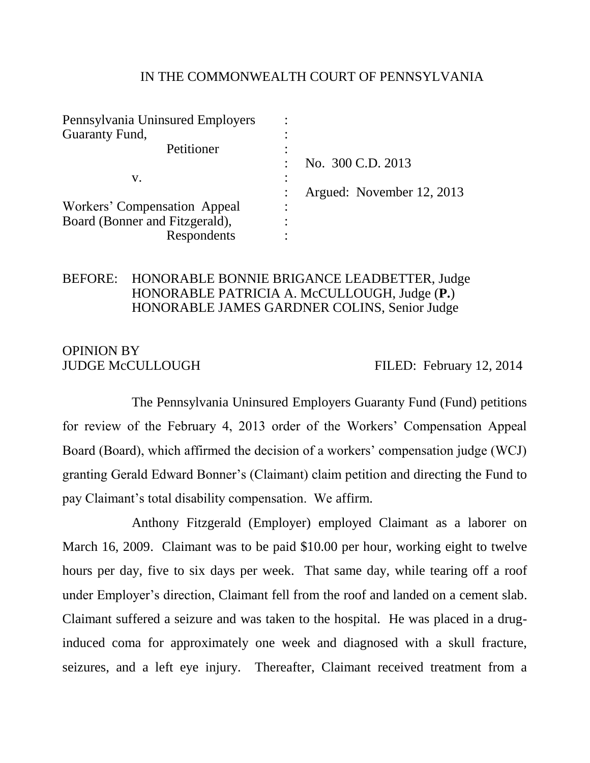## IN THE COMMONWEALTH COURT OF PENNSYLVANIA

| No. 300 C.D. 2013         |
|---------------------------|
|                           |
| Argued: November 12, 2013 |
|                           |
|                           |
|                           |
|                           |

## BEFORE: HONORABLE BONNIE BRIGANCE LEADBETTER, Judge HONORABLE PATRICIA A. McCULLOUGH, Judge (**P.**) HONORABLE JAMES GARDNER COLINS, Senior Judge

# OPINION BY

JUDGE McCULLOUGH FILED: February 12, 2014

The Pennsylvania Uninsured Employers Guaranty Fund (Fund) petitions for review of the February 4, 2013 order of the Workers' Compensation Appeal Board (Board), which affirmed the decision of a workers' compensation judge (WCJ) granting Gerald Edward Bonner's (Claimant) claim petition and directing the Fund to pay Claimant's total disability compensation. We affirm.

Anthony Fitzgerald (Employer) employed Claimant as a laborer on March 16, 2009. Claimant was to be paid \$10.00 per hour, working eight to twelve hours per day, five to six days per week. That same day, while tearing off a roof under Employer's direction, Claimant fell from the roof and landed on a cement slab. Claimant suffered a seizure and was taken to the hospital. He was placed in a druginduced coma for approximately one week and diagnosed with a skull fracture, seizures, and a left eye injury. Thereafter, Claimant received treatment from a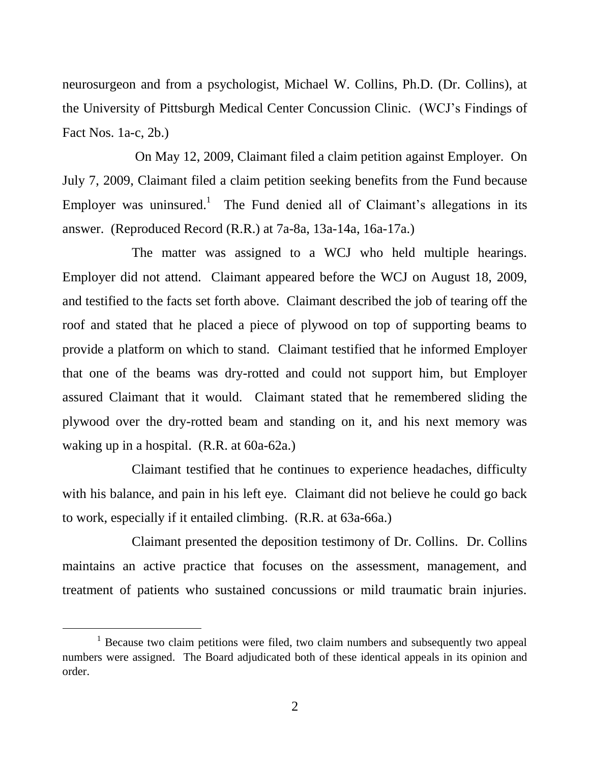neurosurgeon and from a psychologist, Michael W. Collins, Ph.D. (Dr. Collins), at the University of Pittsburgh Medical Center Concussion Clinic. (WCJ's Findings of Fact Nos. 1a-c, 2b.)

On May 12, 2009, Claimant filed a claim petition against Employer. On July 7, 2009, Claimant filed a claim petition seeking benefits from the Fund because Employer was uninsured.<sup>1</sup> The Fund denied all of Claimant's allegations in its answer. (Reproduced Record (R.R.) at 7a-8a, 13a-14a, 16a-17a.)

The matter was assigned to a WCJ who held multiple hearings. Employer did not attend. Claimant appeared before the WCJ on August 18, 2009, and testified to the facts set forth above. Claimant described the job of tearing off the roof and stated that he placed a piece of plywood on top of supporting beams to provide a platform on which to stand. Claimant testified that he informed Employer that one of the beams was dry-rotted and could not support him, but Employer assured Claimant that it would. Claimant stated that he remembered sliding the plywood over the dry-rotted beam and standing on it, and his next memory was waking up in a hospital. (R.R. at 60a-62a.)

Claimant testified that he continues to experience headaches, difficulty with his balance, and pain in his left eye. Claimant did not believe he could go back to work, especially if it entailed climbing. (R.R. at 63a-66a.)

Claimant presented the deposition testimony of Dr. Collins. Dr. Collins maintains an active practice that focuses on the assessment, management, and treatment of patients who sustained concussions or mild traumatic brain injuries.

<sup>&</sup>lt;sup>1</sup> Because two claim petitions were filed, two claim numbers and subsequently two appeal numbers were assigned. The Board adjudicated both of these identical appeals in its opinion and order.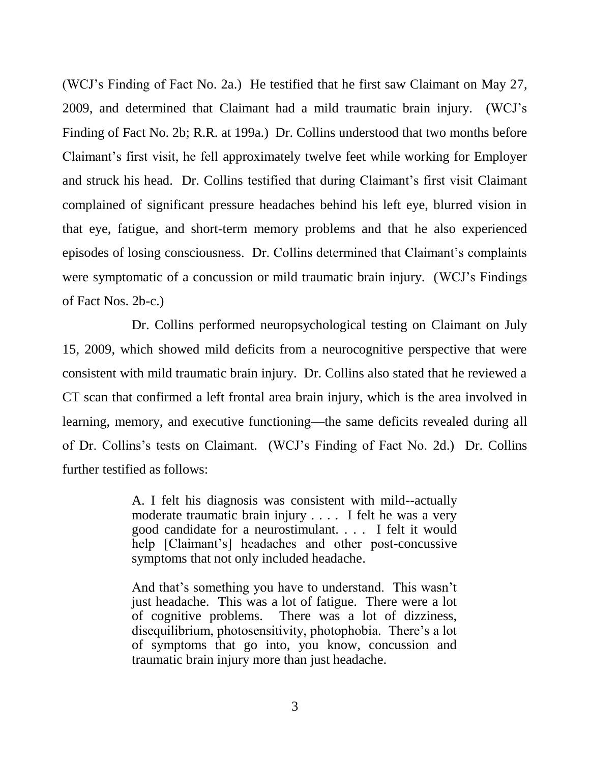(WCJ's Finding of Fact No. 2a.) He testified that he first saw Claimant on May 27, 2009, and determined that Claimant had a mild traumatic brain injury. (WCJ's Finding of Fact No. 2b; R.R. at 199a.) Dr. Collins understood that two months before Claimant's first visit, he fell approximately twelve feet while working for Employer and struck his head. Dr. Collins testified that during Claimant's first visit Claimant complained of significant pressure headaches behind his left eye, blurred vision in that eye, fatigue, and short-term memory problems and that he also experienced episodes of losing consciousness. Dr. Collins determined that Claimant's complaints were symptomatic of a concussion or mild traumatic brain injury. (WCJ's Findings of Fact Nos. 2b-c.)

Dr. Collins performed neuropsychological testing on Claimant on July 15, 2009, which showed mild deficits from a neurocognitive perspective that were consistent with mild traumatic brain injury. Dr. Collins also stated that he reviewed a CT scan that confirmed a left frontal area brain injury, which is the area involved in learning, memory, and executive functioning—the same deficits revealed during all of Dr. Collins's tests on Claimant. (WCJ's Finding of Fact No. 2d.) Dr. Collins further testified as follows:

> A. I felt his diagnosis was consistent with mild--actually moderate traumatic brain injury . . . . I felt he was a very good candidate for a neurostimulant. . . . I felt it would help [Claimant's] headaches and other post-concussive symptoms that not only included headache.

> And that's something you have to understand. This wasn't just headache. This was a lot of fatigue. There were a lot of cognitive problems. There was a lot of dizziness, disequilibrium, photosensitivity, photophobia. There's a lot of symptoms that go into, you know, concussion and traumatic brain injury more than just headache.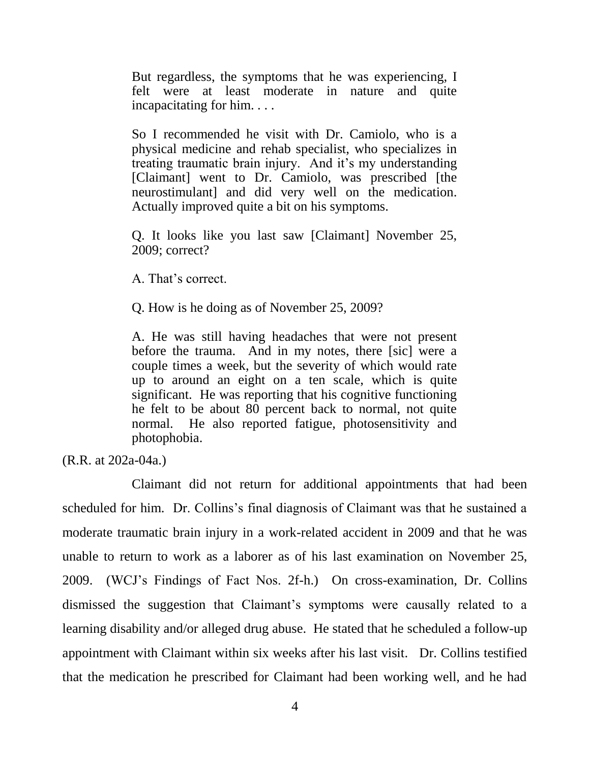But regardless, the symptoms that he was experiencing, I felt were at least moderate in nature and quite incapacitating for him. . . .

So I recommended he visit with Dr. Camiolo, who is a physical medicine and rehab specialist, who specializes in treating traumatic brain injury. And it's my understanding [Claimant] went to Dr. Camiolo, was prescribed [the neurostimulant] and did very well on the medication. Actually improved quite a bit on his symptoms.

Q. It looks like you last saw [Claimant] November 25, 2009; correct?

A. That's correct.

Q. How is he doing as of November 25, 2009?

A. He was still having headaches that were not present before the trauma. And in my notes, there [sic] were a couple times a week, but the severity of which would rate up to around an eight on a ten scale, which is quite significant. He was reporting that his cognitive functioning he felt to be about 80 percent back to normal, not quite normal. He also reported fatigue, photosensitivity and photophobia.

(R.R. at 202a-04a.)

Claimant did not return for additional appointments that had been scheduled for him. Dr. Collins's final diagnosis of Claimant was that he sustained a moderate traumatic brain injury in a work-related accident in 2009 and that he was unable to return to work as a laborer as of his last examination on November 25, 2009. (WCJ's Findings of Fact Nos. 2f-h.) On cross-examination, Dr. Collins dismissed the suggestion that Claimant's symptoms were causally related to a learning disability and/or alleged drug abuse. He stated that he scheduled a follow-up appointment with Claimant within six weeks after his last visit. Dr. Collins testified that the medication he prescribed for Claimant had been working well, and he had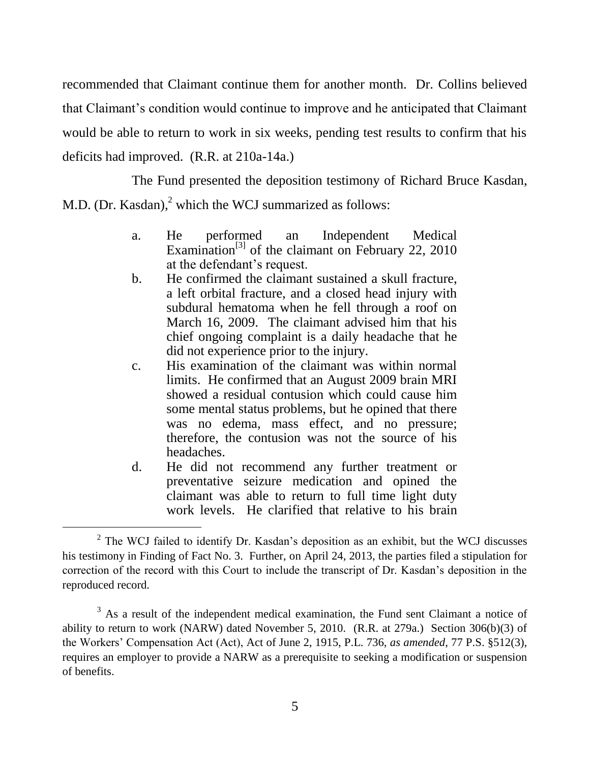recommended that Claimant continue them for another month. Dr. Collins believed that Claimant's condition would continue to improve and he anticipated that Claimant would be able to return to work in six weeks, pending test results to confirm that his deficits had improved. (R.R. at 210a-14a.)

The Fund presented the deposition testimony of Richard Bruce Kasdan, M.D. (Dr. Kasdan), $<sup>2</sup>$  which the WCJ summarized as follows:</sup>

- a. He performed an Independent Medical Examination<sup>[3]</sup> of the claimant on February 22, 2010 at the defendant's request.
- b. He confirmed the claimant sustained a skull fracture, a left orbital fracture, and a closed head injury with subdural hematoma when he fell through a roof on March 16, 2009. The claimant advised him that his chief ongoing complaint is a daily headache that he did not experience prior to the injury.
- c. His examination of the claimant was within normal limits. He confirmed that an August 2009 brain MRI showed a residual contusion which could cause him some mental status problems, but he opined that there was no edema, mass effect, and no pressure; therefore, the contusion was not the source of his headaches.
- d. He did not recommend any further treatment or preventative seizure medication and opined the claimant was able to return to full time light duty work levels. He clarified that relative to his brain

 $2$  The WCJ failed to identify Dr. Kasdan's deposition as an exhibit, but the WCJ discusses his testimony in Finding of Fact No. 3. Further, on April 24, 2013, the parties filed a stipulation for correction of the record with this Court to include the transcript of Dr. Kasdan's deposition in the reproduced record.

<sup>&</sup>lt;sup>3</sup> As a result of the independent medical examination, the Fund sent Claimant a notice of ability to return to work (NARW) dated November 5, 2010. (R.R. at 279a.) Section 306(b)(3) of the Workers' Compensation Act (Act), Act of June 2, 1915, P.L. 736, *as amended*, 77 P.S. §512(3), requires an employer to provide a NARW as a prerequisite to seeking a modification or suspension of benefits.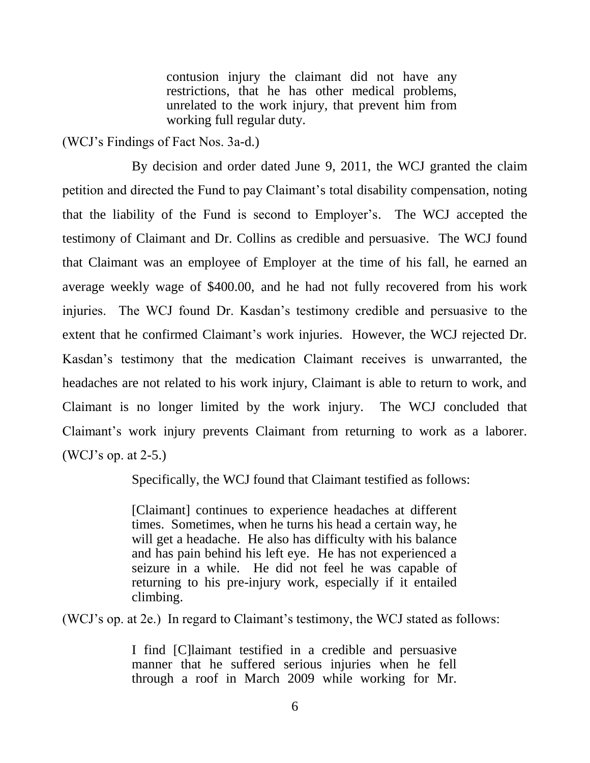contusion injury the claimant did not have any restrictions, that he has other medical problems, unrelated to the work injury, that prevent him from working full regular duty.

(WCJ's Findings of Fact Nos. 3a-d.)

By decision and order dated June 9, 2011, the WCJ granted the claim petition and directed the Fund to pay Claimant's total disability compensation, noting that the liability of the Fund is second to Employer's. The WCJ accepted the testimony of Claimant and Dr. Collins as credible and persuasive. The WCJ found that Claimant was an employee of Employer at the time of his fall, he earned an average weekly wage of \$400.00, and he had not fully recovered from his work injuries. The WCJ found Dr. Kasdan's testimony credible and persuasive to the extent that he confirmed Claimant's work injuries. However, the WCJ rejected Dr. Kasdan's testimony that the medication Claimant receives is unwarranted, the headaches are not related to his work injury, Claimant is able to return to work, and Claimant is no longer limited by the work injury. The WCJ concluded that Claimant's work injury prevents Claimant from returning to work as a laborer. (WCJ's op. at 2-5.)

Specifically, the WCJ found that Claimant testified as follows:

[Claimant] continues to experience headaches at different times. Sometimes, when he turns his head a certain way, he will get a headache. He also has difficulty with his balance and has pain behind his left eye. He has not experienced a seizure in a while. He did not feel he was capable of returning to his pre-injury work, especially if it entailed climbing.

(WCJ's op. at 2e.) In regard to Claimant's testimony, the WCJ stated as follows:

I find [C]laimant testified in a credible and persuasive manner that he suffered serious injuries when he fell through a roof in March 2009 while working for Mr.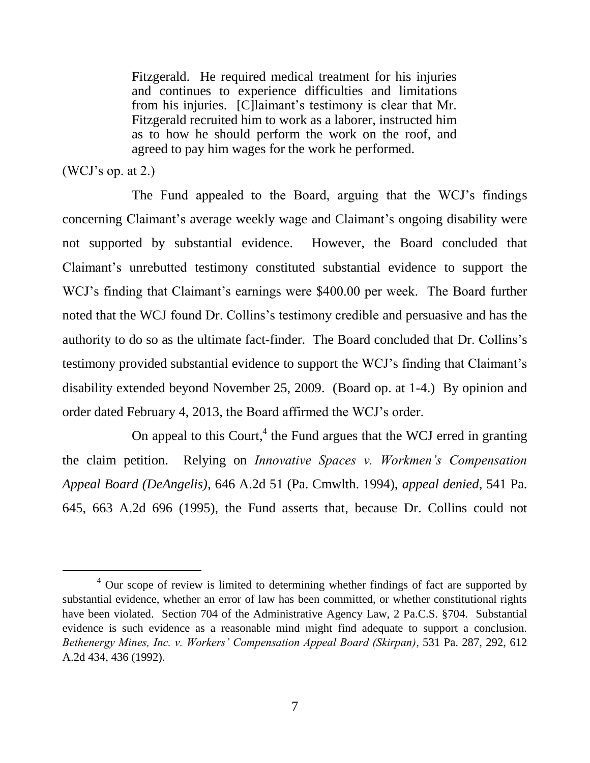Fitzgerald. He required medical treatment for his injuries and continues to experience difficulties and limitations from his injuries. [C]laimant's testimony is clear that Mr. Fitzgerald recruited him to work as a laborer, instructed him as to how he should perform the work on the roof, and agreed to pay him wages for the work he performed.

#### (WCJ's op. at 2.)

l

The Fund appealed to the Board, arguing that the WCJ's findings concerning Claimant's average weekly wage and Claimant's ongoing disability were not supported by substantial evidence. However, the Board concluded that Claimant's unrebutted testimony constituted substantial evidence to support the WCJ's finding that Claimant's earnings were \$400.00 per week. The Board further noted that the WCJ found Dr. Collins's testimony credible and persuasive and has the authority to do so as the ultimate fact-finder. The Board concluded that Dr. Collins's testimony provided substantial evidence to support the WCJ's finding that Claimant's disability extended beyond November 25, 2009. (Board op. at 1-4.) By opinion and order dated February 4, 2013, the Board affirmed the WCJ's order.

On appeal to this Court, $4$  the Fund argues that the WCJ erred in granting the claim petition. Relying on *Innovative Spaces v. Workmen's Compensation Appeal Board (DeAngelis)*, 646 A.2d 51 (Pa. Cmwlth. 1994), *appeal denied*, 541 Pa. 645, 663 A.2d 696 (1995), the Fund asserts that, because Dr. Collins could not

<sup>&</sup>lt;sup>4</sup> Our scope of review is limited to determining whether findings of fact are supported by substantial evidence, whether an error of law has been committed, or whether constitutional rights have been violated. Section 704 of the Administrative Agency Law, 2 Pa.C.S. §704. Substantial evidence is such evidence as a reasonable mind might find adequate to support a conclusion. *Bethenergy Mines, Inc. v. Workers' Compensation Appeal Board (Skirpan)*, 531 Pa. 287, 292, 612 A.2d 434, 436 (1992).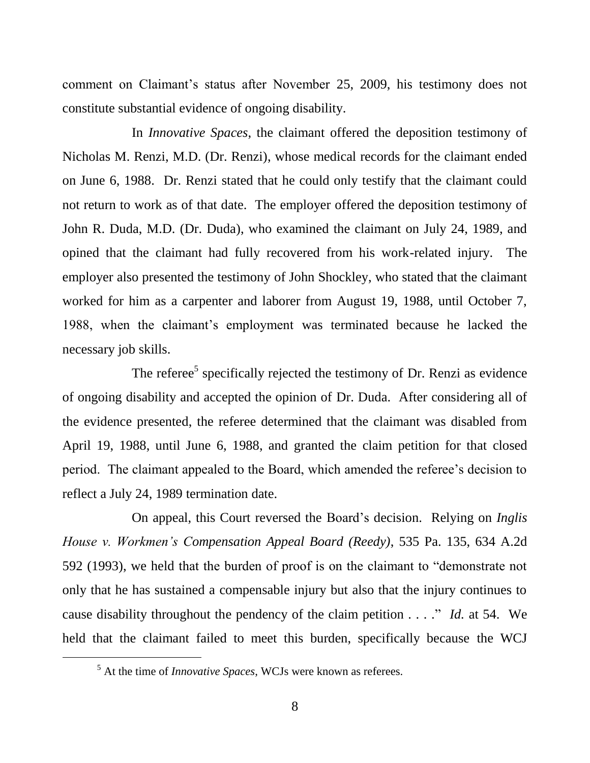comment on Claimant's status after November 25, 2009, his testimony does not constitute substantial evidence of ongoing disability.

In *Innovative Spaces*, the claimant offered the deposition testimony of Nicholas M. Renzi, M.D. (Dr. Renzi), whose medical records for the claimant ended on June 6, 1988. Dr. Renzi stated that he could only testify that the claimant could not return to work as of that date. The employer offered the deposition testimony of John R. Duda, M.D. (Dr. Duda), who examined the claimant on July 24, 1989, and opined that the claimant had fully recovered from his work-related injury. The employer also presented the testimony of John Shockley, who stated that the claimant worked for him as a carpenter and laborer from August 19, 1988, until October 7, 1988, when the claimant's employment was terminated because he lacked the necessary job skills.

The referee<sup>5</sup> specifically rejected the testimony of Dr. Renzi as evidence of ongoing disability and accepted the opinion of Dr. Duda. After considering all of the evidence presented, the referee determined that the claimant was disabled from April 19, 1988, until June 6, 1988, and granted the claim petition for that closed period. The claimant appealed to the Board, which amended the referee's decision to reflect a July 24, 1989 termination date.

On appeal, this Court reversed the Board's decision. Relying on *Inglis House v. Workmen's Compensation Appeal Board (Reedy)*, 535 Pa. 135, 634 A.2d 592 (1993), we held that the burden of proof is on the claimant to "demonstrate not only that he has sustained a compensable injury but also that the injury continues to cause disability throughout the pendency of the claim petition . . . ." *Id.* at 54. We held that the claimant failed to meet this burden, specifically because the WCJ

<sup>5</sup> At the time of *Innovative Spaces*, WCJs were known as referees.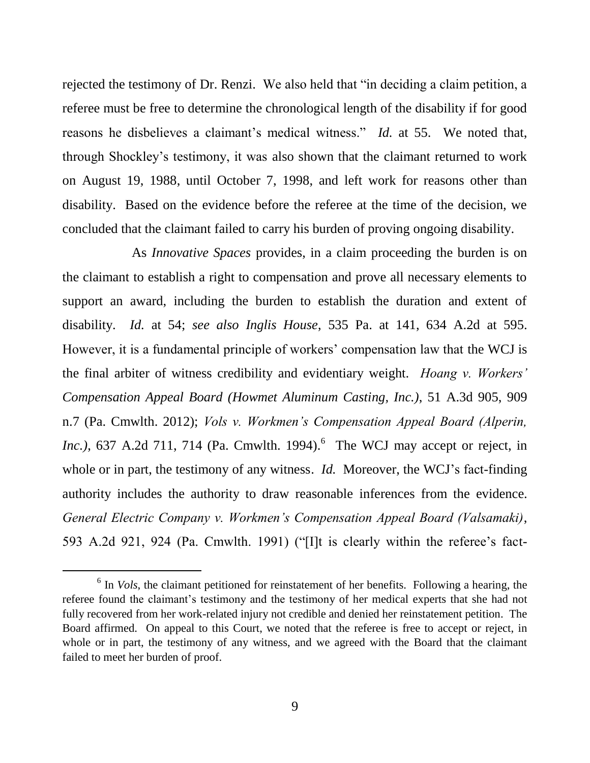rejected the testimony of Dr. Renzi. We also held that "in deciding a claim petition, a referee must be free to determine the chronological length of the disability if for good reasons he disbelieves a claimant's medical witness." *Id.* at 55. We noted that, through Shockley's testimony, it was also shown that the claimant returned to work on August 19, 1988, until October 7, 1998, and left work for reasons other than disability. Based on the evidence before the referee at the time of the decision, we concluded that the claimant failed to carry his burden of proving ongoing disability.

As *Innovative Spaces* provides, in a claim proceeding the burden is on the claimant to establish a right to compensation and prove all necessary elements to support an award, including the burden to establish the duration and extent of disability. *Id.* at 54; *see also Inglis House*, 535 Pa. at 141, 634 A.2d at 595. However, it is a fundamental principle of workers' compensation law that the WCJ is the final arbiter of witness credibility and evidentiary weight. *Hoang v. Workers' Compensation Appeal Board (Howmet Aluminum Casting, Inc.)*, 51 A.3d 905, 909 n.7 (Pa. Cmwlth. 2012); *Vols v. Workmen's Compensation Appeal Board (Alperin, Inc.*), 637 A.2d 711, 714 (Pa. Cmwlth. 1994).<sup>6</sup> The WCJ may accept or reject, in whole or in part, the testimony of any witness. *Id.* Moreover, the WCJ's fact-finding authority includes the authority to draw reasonable inferences from the evidence. *General Electric Company v. Workmen's Compensation Appeal Board (Valsamaki)*, 593 A.2d 921, 924 (Pa. Cmwlth. 1991) ("[I]t is clearly within the referee's fact-

<sup>&</sup>lt;sup>6</sup> In *Vols*, the claimant petitioned for reinstatement of her benefits. Following a hearing, the referee found the claimant's testimony and the testimony of her medical experts that she had not fully recovered from her work-related injury not credible and denied her reinstatement petition. The Board affirmed. On appeal to this Court, we noted that the referee is free to accept or reject, in whole or in part, the testimony of any witness, and we agreed with the Board that the claimant failed to meet her burden of proof.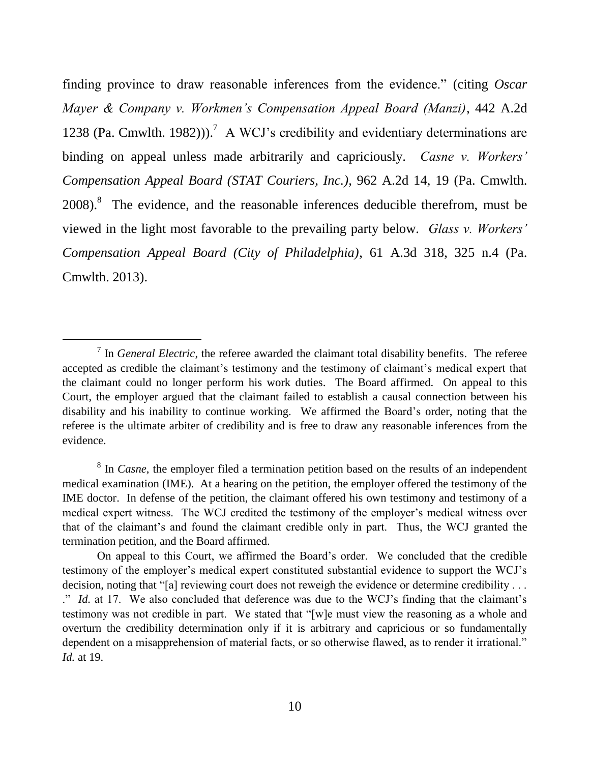finding province to draw reasonable inferences from the evidence." (citing *Oscar Mayer & Company v. Workmen's Compensation Appeal Board (Manzi)*, 442 A.2d 1238 (Pa. Cmwlth. 1982))).<sup>7</sup> A WCJ's credibility and evidentiary determinations are binding on appeal unless made arbitrarily and capriciously. *Casne v. Workers' Compensation Appeal Board (STAT Couriers, Inc.)*, 962 A.2d 14, 19 (Pa. Cmwlth.  $2008$ ).<sup>8</sup> The evidence, and the reasonable inferences deducible therefrom, must be viewed in the light most favorable to the prevailing party below. *Glass v. Workers' Compensation Appeal Board (City of Philadelphia)*, 61 A.3d 318, 325 n.4 (Pa. Cmwlth. 2013).

<sup>&</sup>lt;sup>7</sup> In *General Electric*, the referee awarded the claimant total disability benefits. The referee accepted as credible the claimant's testimony and the testimony of claimant's medical expert that the claimant could no longer perform his work duties. The Board affirmed. On appeal to this Court, the employer argued that the claimant failed to establish a causal connection between his disability and his inability to continue working. We affirmed the Board's order, noting that the referee is the ultimate arbiter of credibility and is free to draw any reasonable inferences from the evidence.

<sup>&</sup>lt;sup>8</sup> In *Casne*, the employer filed a termination petition based on the results of an independent medical examination (IME). At a hearing on the petition, the employer offered the testimony of the IME doctor. In defense of the petition, the claimant offered his own testimony and testimony of a medical expert witness. The WCJ credited the testimony of the employer's medical witness over that of the claimant's and found the claimant credible only in part. Thus, the WCJ granted the termination petition, and the Board affirmed.

On appeal to this Court, we affirmed the Board's order. We concluded that the credible testimony of the employer's medical expert constituted substantial evidence to support the WCJ's decision, noting that "[a] reviewing court does not reweigh the evidence or determine credibility . . . ." *Id.* at 17. We also concluded that deference was due to the WCJ's finding that the claimant's testimony was not credible in part. We stated that "[w]e must view the reasoning as a whole and overturn the credibility determination only if it is arbitrary and capricious or so fundamentally dependent on a misapprehension of material facts, or so otherwise flawed, as to render it irrational." *Id.* at 19.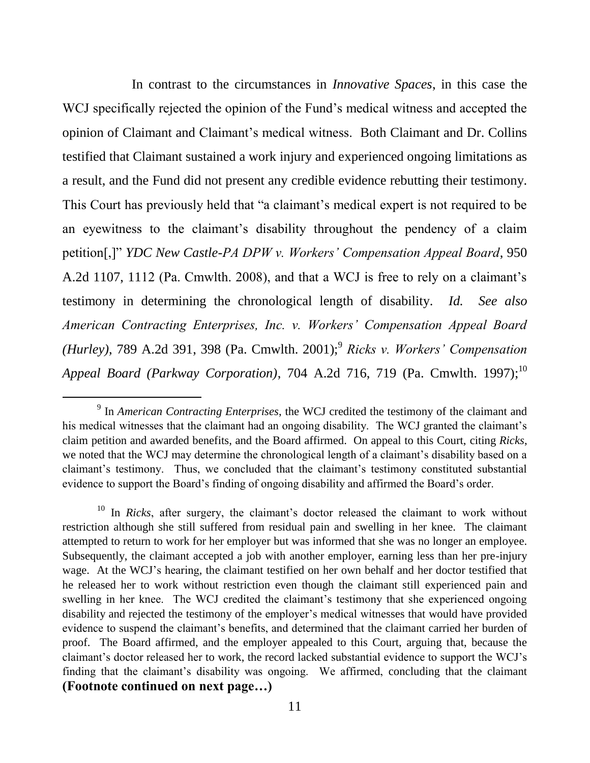In contrast to the circumstances in *Innovative Spaces*, in this case the WCJ specifically rejected the opinion of the Fund's medical witness and accepted the opinion of Claimant and Claimant's medical witness. Both Claimant and Dr. Collins testified that Claimant sustained a work injury and experienced ongoing limitations as a result, and the Fund did not present any credible evidence rebutting their testimony. This Court has previously held that "a claimant's medical expert is not required to be an eyewitness to the claimant's disability throughout the pendency of a claim petition[,]" *YDC New Castle-PA DPW v. Workers' Compensation Appeal Board*, 950 A.2d 1107, 1112 (Pa. Cmwlth. 2008), and that a WCJ is free to rely on a claimant's testimony in determining the chronological length of disability. *Id. See also American Contracting Enterprises, Inc. v. Workers' Compensation Appeal Board (Hurley), 789 A.2d 391, 398 (Pa. Cmwlth. 2001);<sup>9</sup> Ricks v. Workers' Compensation Appeal Board (Parkway Corporation)*, 704 A.2d 716, 719 (Pa. Cmwlth. 1997); 10

<sup>9</sup> In *American Contracting Enterprises*, the WCJ credited the testimony of the claimant and his medical witnesses that the claimant had an ongoing disability. The WCJ granted the claimant's claim petition and awarded benefits, and the Board affirmed. On appeal to this Court, citing *Ricks*, we noted that the WCJ may determine the chronological length of a claimant's disability based on a claimant's testimony. Thus, we concluded that the claimant's testimony constituted substantial evidence to support the Board's finding of ongoing disability and affirmed the Board's order.

<sup>&</sup>lt;sup>10</sup> In *Ricks*, after surgery, the claimant's doctor released the claimant to work without restriction although she still suffered from residual pain and swelling in her knee. The claimant attempted to return to work for her employer but was informed that she was no longer an employee. Subsequently, the claimant accepted a job with another employer, earning less than her pre-injury wage. At the WCJ's hearing, the claimant testified on her own behalf and her doctor testified that he released her to work without restriction even though the claimant still experienced pain and swelling in her knee. The WCJ credited the claimant's testimony that she experienced ongoing disability and rejected the testimony of the employer's medical witnesses that would have provided evidence to suspend the claimant's benefits, and determined that the claimant carried her burden of proof. The Board affirmed, and the employer appealed to this Court, arguing that, because the claimant's doctor released her to work, the record lacked substantial evidence to support the WCJ's finding that the claimant's disability was ongoing. We affirmed, concluding that the claimant **(Footnote continued on next page…)**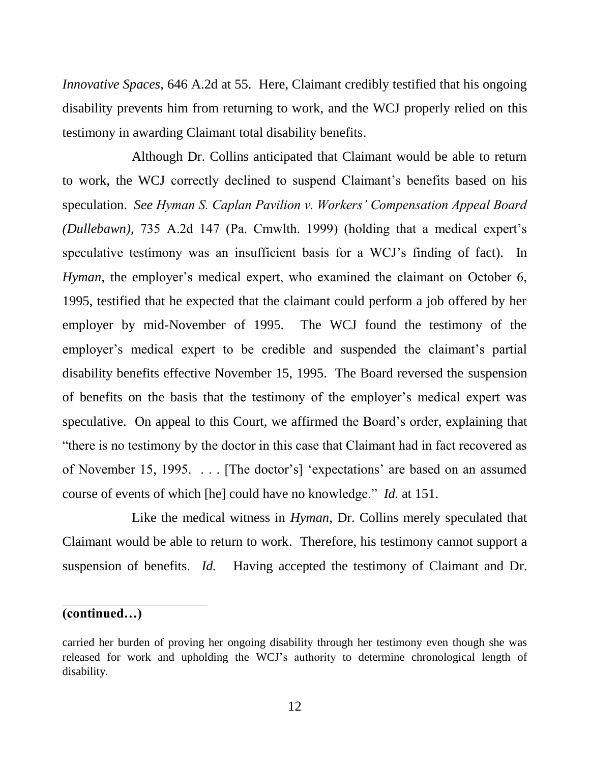*Innovative Spaces*, 646 A.2d at 55. Here, Claimant credibly testified that his ongoing disability prevents him from returning to work, and the WCJ properly relied on this testimony in awarding Claimant total disability benefits.

Although Dr. Collins anticipated that Claimant would be able to return to work, the WCJ correctly declined to suspend Claimant's benefits based on his speculation. *See Hyman S. Caplan Pavilion v. Workers' Compensation Appeal Board (Dullebawn)*, 735 A.2d 147 (Pa. Cmwlth. 1999) (holding that a medical expert's speculative testimony was an insufficient basis for a WCJ's finding of fact). In *Hyman*, the employer's medical expert, who examined the claimant on October 6, 1995, testified that he expected that the claimant could perform a job offered by her employer by mid-November of 1995. The WCJ found the testimony of the employer's medical expert to be credible and suspended the claimant's partial disability benefits effective November 15, 1995. The Board reversed the suspension of benefits on the basis that the testimony of the employer's medical expert was speculative. On appeal to this Court, we affirmed the Board's order, explaining that "there is no testimony by the doctor in this case that Claimant had in fact recovered as of November 15, 1995. . . . [The doctor's] 'expectations' are based on an assumed course of events of which [he] could have no knowledge." *Id.* at 151.

Like the medical witness in *Hyman*, Dr. Collins merely speculated that Claimant would be able to return to work. Therefore, his testimony cannot support a suspension of benefits. *Id.* Having accepted the testimony of Claimant and Dr.

#### **(continued…)**

 $\overline{a}$ 

carried her burden of proving her ongoing disability through her testimony even though she was released for work and upholding the WCJ's authority to determine chronological length of disability.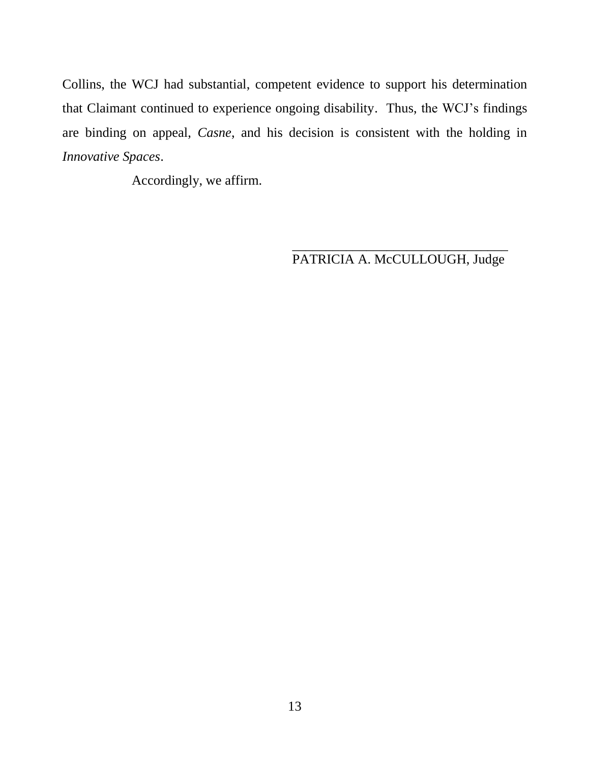Collins, the WCJ had substantial, competent evidence to support his determination that Claimant continued to experience ongoing disability. Thus, the WCJ's findings are binding on appeal, *Casne*, and his decision is consistent with the holding in *Innovative Spaces*.

Accordingly, we affirm.

\_\_\_\_\_\_\_\_\_\_\_\_\_\_\_\_\_\_\_\_\_\_\_\_\_\_\_\_\_\_\_\_ PATRICIA A. McCULLOUGH, Judge